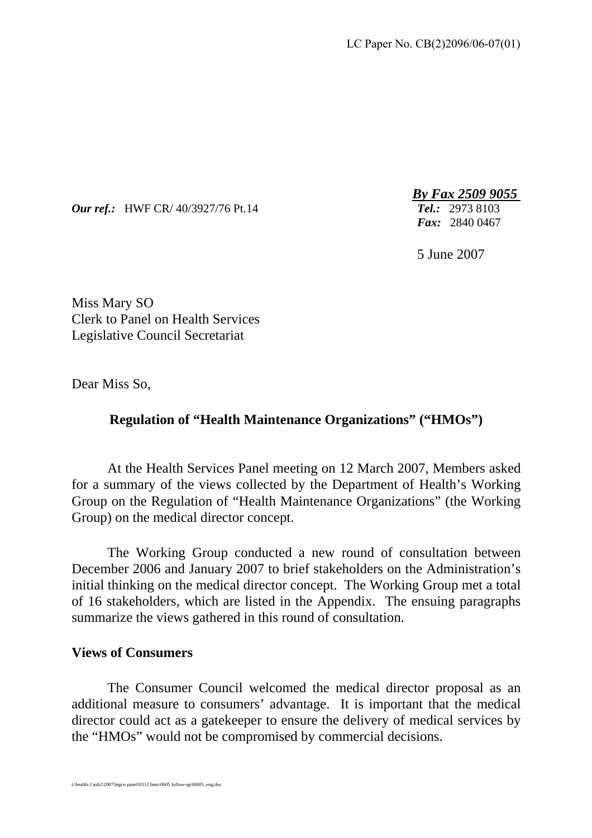*Our ref.:* HWF CR/ 40/3927/76 Pt.14 *Tel.:* 2973 8103

*By Fax 2509 9055* 

*Fax:* 2840 0467

5 June 2007

Miss Mary SO Clerk to Panel on Health Services Legislative Council Secretariat

Dear Miss So,

## **Regulation of "Health Maintenance Organizations" ("HMOs")**

 At the Health Services Panel meeting on 12 March 2007, Members asked for a summary of the views collected by the Department of Health's Working Group on the Regulation of "Health Maintenance Organizations" (the Working Group) on the medical director concept.

 The Working Group conducted a new round of consultation between December 2006 and January 2007 to brief stakeholders on the Administration's initial thinking on the medical director concept. The Working Group met a total of 16 stakeholders, which are listed in the Appendix. The ensuing paragraphs summarize the views gathered in this round of consultation.

### **Views of Consumers**

 The Consumer Council welcomed the medical director proposal as an additional measure to consumers' advantage. It is important that the medical director could act as a gatekeeper to ensure the delivery of medical services by the "HMOs" would not be compromised by commercial decisions.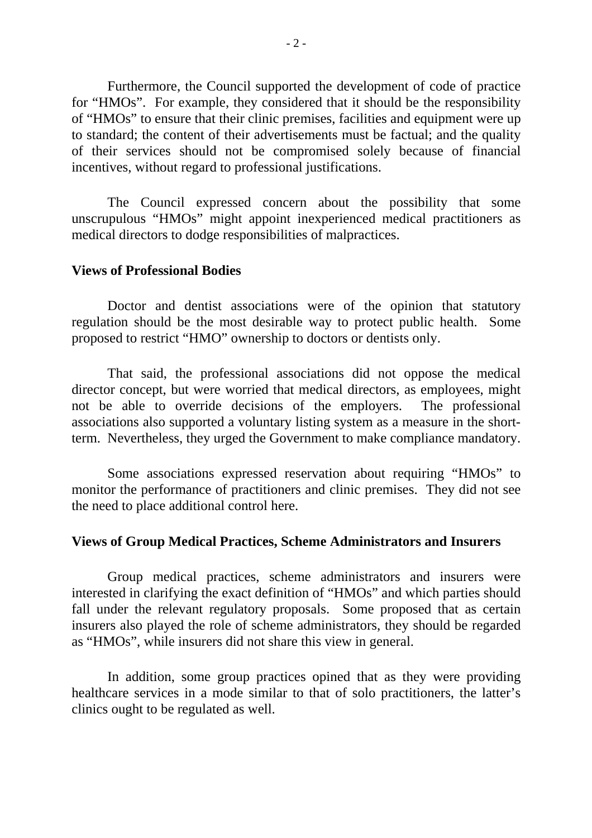Furthermore, the Council supported the development of code of practice for "HMOs". For example, they considered that it should be the responsibility of "HMOs" to ensure that their clinic premises, facilities and equipment were up to standard; the content of their advertisements must be factual; and the quality of their services should not be compromised solely because of financial incentives, without regard to professional justifications.

 The Council expressed concern about the possibility that some unscrupulous "HMOs" might appoint inexperienced medical practitioners as medical directors to dodge responsibilities of malpractices.

### **Views of Professional Bodies**

 Doctor and dentist associations were of the opinion that statutory regulation should be the most desirable way to protect public health. Some proposed to restrict "HMO" ownership to doctors or dentists only.

 That said, the professional associations did not oppose the medical director concept, but were worried that medical directors, as employees, might not be able to override decisions of the employers. The professional associations also supported a voluntary listing system as a measure in the shortterm. Nevertheless, they urged the Government to make compliance mandatory.

 Some associations expressed reservation about requiring "HMOs" to monitor the performance of practitioners and clinic premises. They did not see the need to place additional control here.

#### **Views of Group Medical Practices, Scheme Administrators and Insurers**

 Group medical practices, scheme administrators and insurers were interested in clarifying the exact definition of "HMOs" and which parties should fall under the relevant regulatory proposals. Some proposed that as certain insurers also played the role of scheme administrators, they should be regarded as "HMOs", while insurers did not share this view in general.

 In addition, some group practices opined that as they were providing healthcare services in a mode similar to that of solo practitioners, the latter's clinics ought to be regulated as well.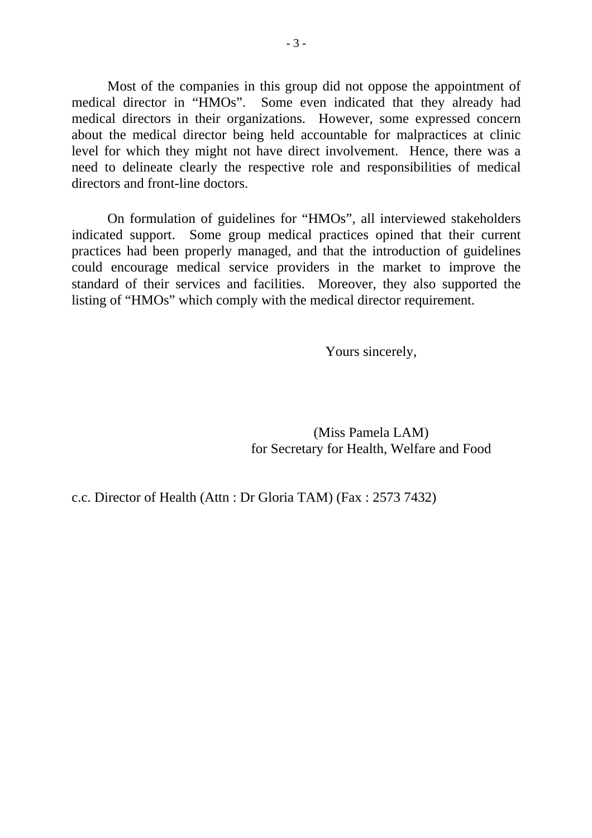Most of the companies in this group did not oppose the appointment of medical director in "HMOs". Some even indicated that they already had medical directors in their organizations. However, some expressed concern about the medical director being held accountable for malpractices at clinic level for which they might not have direct involvement. Hence, there was a need to delineate clearly the respective role and responsibilities of medical directors and front-line doctors.

 On formulation of guidelines for "HMOs", all interviewed stakeholders indicated support. Some group medical practices opined that their current practices had been properly managed, and that the introduction of guidelines could encourage medical service providers in the market to improve the standard of their services and facilities. Moreover, they also supported the listing of "HMOs" which comply with the medical director requirement.

Yours sincerely,

 (Miss Pamela LAM) for Secretary for Health, Welfare and Food

c.c. Director of Health (Attn : Dr Gloria TAM) (Fax : 2573 7432)